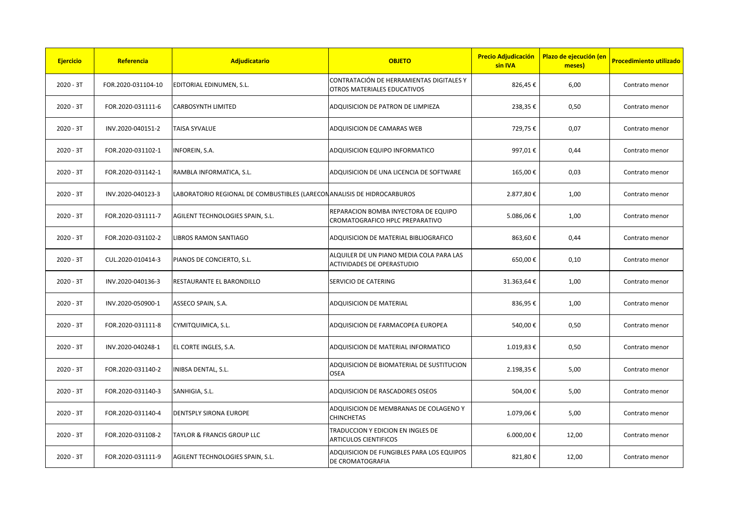| <b>Ejercicio</b> | Referencia         | Adjudicatario                                                           | <b>OBJETO</b>                                                                  | <b>Precio Adjudicación</b><br>sin IVA | Plazo de ejecución (en<br>meses) | <b>Procedimiento utilizado</b> |
|------------------|--------------------|-------------------------------------------------------------------------|--------------------------------------------------------------------------------|---------------------------------------|----------------------------------|--------------------------------|
| $2020 - 3T$      | FOR.2020-031104-10 | EDITORIAL EDINUMEN, S.L.                                                | CONTRATACIÓN DE HERRAMIENTAS DIGITALES Y<br><b>OTROS MATERIALES EDUCATIVOS</b> | 826,45€                               | 6,00                             | Contrato menor                 |
| $2020 - 3T$      | FOR.2020-031111-6  | CARBOSYNTH LIMITED                                                      | ADQUISICION DE PATRON DE LIMPIEZA                                              | 238,35€                               | 0,50                             | Contrato menor                 |
| $2020 - 3T$      | INV.2020-040151-2  | <b>TAISA SYVALUE</b>                                                    | ADQUISICION DE CAMARAS WEB                                                     | 729,75€                               | 0,07                             | Contrato menor                 |
| $2020 - 3T$      | FOR.2020-031102-1  | INFOREIN, S.A.                                                          | ADQUISICION EQUIPO INFORMATICO                                                 | 997,01€                               | 0,44                             | Contrato menor                 |
| $2020 - 3T$      | FOR.2020-031142-1  | RAMBLA INFORMATICA, S.L.                                                | ADQUISICION DE UNA LICENCIA DE SOFTWARE                                        | 165,00€                               | 0,03                             | Contrato menor                 |
| $2020 - 3T$      | INV.2020-040123-3  | LABORATORIO REGIONAL DE COMBUSTIBLES (LARECON ANALISIS DE HIDROCARBUROS |                                                                                | 2.877,80€                             | 1,00                             | Contrato menor                 |
| $2020 - 3T$      | FOR.2020-031111-7  | AGILENT TECHNOLOGIES SPAIN, S.L.                                        | REPARACION BOMBA INYECTORA DE EQUIPO<br>CROMATOGRAFICO HPLC PREPARATIVO        | 5.086,06€                             | 1,00                             | Contrato menor                 |
| $2020 - 3T$      | FOR.2020-031102-2  | LIBROS RAMON SANTIAGO                                                   | ADQUISICION DE MATERIAL BIBLIOGRAFICO                                          | 863,60€                               | 0,44                             | Contrato menor                 |
| 2020 - 3T        | CUL.2020-010414-3  | PIANOS DE CONCIERTO, S.L.                                               | ALQUILER DE UN PIANO MEDIA COLA PARA LAS<br><b>ACTIVIDADES DE OPERASTUDIO</b>  | 650,00€                               | 0,10                             | Contrato menor                 |
| $2020 - 3T$      | INV.2020-040136-3  | RESTAURANTE EL BARONDILLO                                               | SERVICIO DE CATERING                                                           | 31.363,64 €                           | 1,00                             | Contrato menor                 |
| 2020 - 3T        | INV.2020-050900-1  | ASSECO SPAIN, S.A.                                                      | ADQUISICION DE MATERIAL                                                        | 836,95€                               | 1,00                             | Contrato menor                 |
| $2020 - 3T$      | FOR.2020-031111-8  | CYMITQUIMICA, S.L.                                                      | ADQUISICION DE FARMACOPEA EUROPEA                                              | 540,00€                               | 0,50                             | Contrato menor                 |
| $2020 - 3T$      | INV.2020-040248-1  | EL CORTE INGLES, S.A.                                                   | ADQUISICION DE MATERIAL INFORMATICO                                            | 1.019,83€                             | 0,50                             | Contrato menor                 |
| $2020 - 3T$      | FOR.2020-031140-2  | INIBSA DENTAL, S.L.                                                     | ADQUISICION DE BIOMATERIAL DE SUSTITUCION<br><b>OSEA</b>                       | 2.198,35€                             | 5,00                             | Contrato menor                 |
| $2020 - 3T$      | FOR.2020-031140-3  | SANHIGIA, S.L.                                                          | <b>ADQUISICION DE RASCADORES OSEOS</b>                                         | 504,00€                               | 5,00                             | Contrato menor                 |
| $2020 - 3T$      | FOR.2020-031140-4  | <b>DENTSPLY SIRONA EUROPE</b>                                           | ADQUISICION DE MEMBRANAS DE COLAGENO Y<br><b>CHINCHETAS</b>                    | 1.079,06€                             | 5,00                             | Contrato menor                 |
| $2020 - 3T$      | FOR.2020-031108-2  | <b>TAYLOR &amp; FRANCIS GROUP LLC</b>                                   | TRADUCCION Y EDICION EN INGLES DE<br><b>ARTICULOS CIENTIFICOS</b>              | 6.000,00€                             | 12,00                            | Contrato menor                 |
| $2020 - 3T$      | FOR.2020-031111-9  | AGILENT TECHNOLOGIES SPAIN, S.L.                                        | ADQUISICION DE FUNGIBLES PARA LOS EQUIPOS<br><b>DE CROMATOGRAFIA</b>           | 821,80€                               | 12,00                            | Contrato menor                 |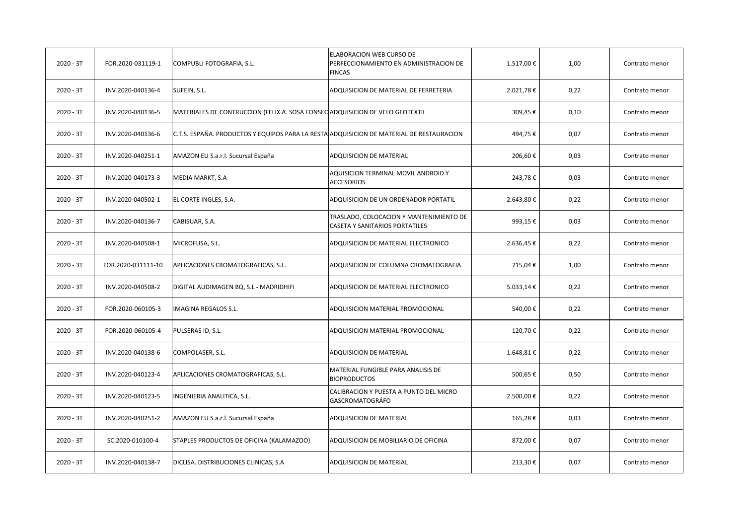| $2020 - 3T$ | FOR.2020-031119-1  | COMPUBLI FOTOGRAFIA, S.L.                                                                | ELABORACION WEB CURSO DE<br>PERFECCIONAMIENTO EN ADMINISTRACION DE<br><b>FINCAS</b> | 1.517,00 € | 1,00 | Contrato menor |
|-------------|--------------------|------------------------------------------------------------------------------------------|-------------------------------------------------------------------------------------|------------|------|----------------|
| $2020 - 3T$ | INV.2020-040136-4  | SUFEIN, S.L.                                                                             | ADQUISICION DE MATERIAL DE FERRETERIA                                               | 2.021,78€  | 0,22 | Contrato menor |
| $2020 - 3T$ | INV.2020-040136-5  | MATERIALES DE CONTRUCCION (FELIX A. SOSA FONSEC ADQUISICION DE VELO GEOTEXTIL            |                                                                                     | 309,45€    | 0,10 | Contrato menor |
| 2020 - 3T   | INV.2020-040136-6  | C.T.S. ESPAÑA. PRODUCTOS Y EQUIPOS PARA LA RESTA ADQUISICION DE MATERIAL DE RESTAURACION |                                                                                     | 494,75€    | 0,07 | Contrato menor |
| $2020 - 3T$ | INV.2020-040251-1  | AMAZON EU S.a.r.l. Sucursal España                                                       | ADQUISICION DE MATERIAL                                                             | 206,60€    | 0,03 | Contrato menor |
| $2020 - 3T$ | INV.2020-040173-3  | MEDIA MARKT, S.A                                                                         | AQUISICION TERMINAL MOVIL ANDROID Y<br><b>ACCESORIOS</b>                            | 243,78€    | 0,03 | Contrato menor |
| $2020 - 3T$ | INV.2020-040502-1  | EL CORTE INGLES, S.A.                                                                    | ADQUISICION DE UN ORDENADOR PORTATIL                                                | 2.643,80€  | 0,22 | Contrato menor |
| $2020 - 3T$ | INV.2020-040136-7  | CABISUAR, S.A.                                                                           | TRASLADO, COLOCACION Y MANTENIMIENTO DE<br>CASETA Y SANITARIOS PORTATILES           | 993,15€    | 0,03 | Contrato menor |
| $2020 - 3T$ | INV.2020-040508-1  | MICROFUSA, S.L.                                                                          | ADQUISICION DE MATERIAL ELECTRONICO                                                 | 2.636,45€  | 0,22 | Contrato menor |
| $2020 - 3T$ | FOR.2020-031111-10 | APLICACIONES CROMATOGRAFICAS, S.L.                                                       | ADQUISICION DE COLUMNA CROMATOGRAFIA                                                | 715,04€    | 1,00 | Contrato menor |
| 2020 - 3T   | INV.2020-040508-2  | DIGITAL AUDIMAGEN BQ, S.L - MADRIDHIFI                                                   | ADQUISICION DE MATERIAL ELECTRONICO                                                 | 5.033,14 € | 0,22 | Contrato menor |
| $2020 - 3T$ | FOR.2020-060105-3  | <b>IMAGINA REGALOS S.L.</b>                                                              | ADQUISICION MATERIAL PROMOCIONAL                                                    | 540,00€    | 0,22 | Contrato menor |
| $2020 - 3T$ | FOR.2020-060105-4  | PULSERAS ID, S.L.                                                                        | ADQUISICION MATERIAL PROMOCIONAL                                                    | 120,70€    | 0,22 | Contrato menor |
| $2020 - 3T$ | INV.2020-040138-6  | COMPOLASER, S.L.                                                                         | ADQUISICION DE MATERIAL                                                             | 1.648,81€  | 0,22 | Contrato menor |
| $2020 - 3T$ | INV.2020-040123-4  | APLICACIONES CROMATOGRAFICAS, S.L.                                                       | MATERIAL FUNGIBLE PARA ANALISIS DE<br><b>BIOPRODUCTOS</b>                           | 500,65€    | 0,50 | Contrato menor |
| $2020 - 3T$ | INV.2020-040123-5  | INGENIERIA ANALITICA, S.L.                                                               | CALIBRACION Y PUESTA A PUNTO DEL MICRO<br>GASCROMATOGRÁFO                           | 2.500,00€  | 0,22 | Contrato menor |
| $2020 - 3T$ | INV.2020-040251-2  | AMAZON EU S.a.r.l. Sucursal España                                                       | ADQUISICION DE MATERIAL                                                             | 165,28€    | 0,03 | Contrato menor |
| $2020 - 3T$ | SC.2020-010100-4   | STAPLES PRODUCTOS DE OFICINA (KALAMAZOO)                                                 | ADQUISICION DE MOBILIARIO DE OFICINA                                                | 872,00€    | 0,07 | Contrato menor |
| $2020 - 3T$ | INV.2020-040138-7  | DICLISA. DISTRIBUCIONES CLINICAS, S.A.                                                   | ADQUISICION DE MATERIAL                                                             | 213,30€    | 0,07 | Contrato menor |